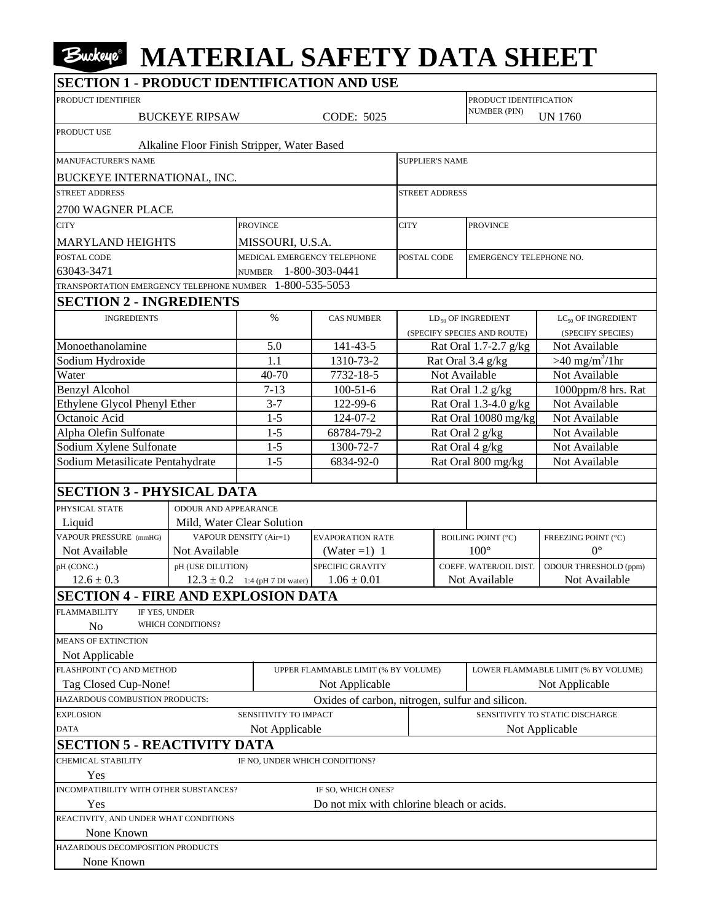## **MATERIAL SAFETY DATA SHEET**

| <b>SECTION 1 - PRODUCT IDENTIFICATION AND USE</b>        |                             |                                             |                                                 |                                     |                                 |                              |  |  |
|----------------------------------------------------------|-----------------------------|---------------------------------------------|-------------------------------------------------|-------------------------------------|---------------------------------|------------------------------|--|--|
| PRODUCT IDENTIFIER                                       |                             |                                             | PRODUCT IDENTIFICATION                          |                                     |                                 |                              |  |  |
|                                                          | <b>BUCKEYE RIPSAW</b>       |                                             | CODE: 5025                                      |                                     | <b>NUMBER (PIN)</b>             | <b>UN 1760</b>               |  |  |
| PRODUCT USE                                              |                             |                                             |                                                 |                                     |                                 |                              |  |  |
|                                                          |                             | Alkaline Floor Finish Stripper, Water Based |                                                 |                                     |                                 |                              |  |  |
| <b>MANUFACTURER'S NAME</b>                               |                             |                                             |                                                 | <b>SUPPLIER'S NAME</b>              |                                 |                              |  |  |
| <b>BUCKEYE INTERNATIONAL, INC.</b>                       |                             |                                             |                                                 |                                     |                                 |                              |  |  |
| <b>STREET ADDRESS</b>                                    |                             |                                             |                                                 | <b>STREET ADDRESS</b>               |                                 |                              |  |  |
| 2700 WAGNER PLACE                                        |                             |                                             |                                                 |                                     |                                 |                              |  |  |
| <b>CITY</b>                                              |                             | PROVINCE                                    |                                                 | <b>PROVINCE</b><br><b>CITY</b>      |                                 |                              |  |  |
| <b>MARYLAND HEIGHTS</b>                                  |                             | MISSOURI, U.S.A.                            |                                                 |                                     |                                 |                              |  |  |
| POSTAL CODE                                              |                             | MEDICAL EMERGENCY TELEPHONE                 |                                                 | POSTAL CODE                         | EMERGENCY TELEPHONE NO.         |                              |  |  |
| 63043-3471                                               |                             | NUMBER 1-800-303-0441                       |                                                 |                                     |                                 |                              |  |  |
| TRANSPORTATION EMERGENCY TELEPHONE NUMBER 1-800-535-5053 |                             |                                             |                                                 |                                     |                                 |                              |  |  |
| <b>SECTION 2 - INGREDIENTS</b>                           |                             |                                             |                                                 |                                     |                                 |                              |  |  |
| <b>INGREDIENTS</b>                                       |                             | $\%$                                        | <b>CAS NUMBER</b>                               |                                     | $LD_{50}$ OF INGREDIENT         | $LC_{50}$ OF INGREDIENT      |  |  |
|                                                          |                             |                                             |                                                 | (SPECIFY SPECIES AND ROUTE)         |                                 | (SPECIFY SPECIES)            |  |  |
| Monoethanolamine                                         |                             | 5.0                                         | 141-43-5                                        | Rat Oral 1.7-2.7 g/kg               |                                 | Not Available                |  |  |
| Sodium Hydroxide                                         |                             | 1.1                                         | 1310-73-2                                       | Rat Oral 3.4 g/kg                   |                                 | $>40$ mg/m <sup>3</sup> /1hr |  |  |
| Water                                                    |                             | 40-70                                       | 7732-18-5                                       | Not Available                       |                                 | Not Available                |  |  |
| <b>Benzyl Alcohol</b>                                    |                             | $7 - 13$                                    | $100 - 51 - 6$                                  | Rat Oral 1.2 g/kg                   |                                 | 1000ppm/8 hrs. Rat           |  |  |
| Ethylene Glycol Phenyl Ether                             |                             | $3 - 7$                                     | 122-99-6                                        | Rat Oral 1.3-4.0 g/kg               |                                 | Not Available                |  |  |
| Octanoic Acid                                            |                             | $1 - 5$                                     | 124-07-2                                        | Rat Oral 10080 mg/kg                |                                 | Not Available                |  |  |
| Alpha Olefin Sulfonate                                   |                             | $1 - 5$                                     | 68784-79-2                                      | Rat Oral 2 g/kg                     |                                 | Not Available                |  |  |
| Sodium Xylene Sulfonate                                  |                             | $1 - 5$                                     | 1300-72-7                                       | Rat Oral 4 g/kg                     |                                 | Not Available                |  |  |
| Sodium Metasilicate Pentahydrate                         |                             | $1 - 5$                                     | 6834-92-0                                       | Rat Oral 800 mg/kg                  |                                 | Not Available                |  |  |
| <b>SECTION 3 - PHYSICAL DATA</b>                         |                             |                                             |                                                 |                                     |                                 |                              |  |  |
|                                                          |                             |                                             |                                                 |                                     |                                 |                              |  |  |
| PHYSICAL STATE<br>Liquid                                 | <b>ODOUR AND APPEARANCE</b> | Mild, Water Clear Solution                  |                                                 |                                     |                                 |                              |  |  |
| VAPOUR PRESSURE (mmHG)                                   |                             | <b>VAPOUR DENSITY (Air=1)</b>               | <b>EVAPORATION RATE</b>                         |                                     | <b>BOILING POINT (°C)</b>       | FREEZING POINT (°C)          |  |  |
| Not Available                                            | Not Available               |                                             | (Water = 1) 1                                   |                                     | $100^\circ$                     | $0^{\circ}$                  |  |  |
| pH (CONC.)                                               | pH (USE DILUTION)           |                                             | SPECIFIC GRAVITY                                | COEFF. WATER/OIL DIST.              |                                 | ODOUR THRESHOLD (ppm)        |  |  |
| $12.6 \pm 0.3$                                           |                             | $12.3 \pm 0.2$ 1:4 (pH 7 DI water)          | $1.06 \pm 0.01$                                 |                                     | Not Available                   | Not Available                |  |  |
| <b>SECTION 4 - FIRE AND EXPLOSION DATA</b>               |                             |                                             |                                                 |                                     |                                 |                              |  |  |
| <b>FLAMMABILITY</b><br>IF YES, UNDER                     |                             |                                             |                                                 |                                     |                                 |                              |  |  |
| N <sub>o</sub>                                           | WHICH CONDITIONS?           |                                             |                                                 |                                     |                                 |                              |  |  |
| <b>MEANS OF EXTINCTION</b>                               |                             |                                             |                                                 |                                     |                                 |                              |  |  |
| Not Applicable                                           |                             |                                             |                                                 |                                     |                                 |                              |  |  |
| FLASHPOINT (°C) AND METHOD                               |                             |                                             | UPPER FLAMMABLE LIMIT (% BY VOLUME)             | LOWER FLAMMABLE LIMIT (% BY VOLUME) |                                 |                              |  |  |
| Tag Closed Cup-None!                                     |                             |                                             | Not Applicable                                  |                                     |                                 | Not Applicable               |  |  |
| HAZARDOUS COMBUSTION PRODUCTS:                           |                             |                                             | Oxides of carbon, nitrogen, sulfur and silicon. |                                     |                                 |                              |  |  |
| <b>EXPLOSION</b><br>SENSITIVITY TO IMPACT                |                             |                                             |                                                 |                                     | SENSITIVITY TO STATIC DISCHARGE |                              |  |  |
| Not Applicable<br><b>DATA</b>                            |                             |                                             |                                                 |                                     |                                 | Not Applicable               |  |  |
| <b>SECTION 5 - REACTIVITY DATA</b>                       |                             |                                             |                                                 |                                     |                                 |                              |  |  |
| <b>CHEMICAL STABILITY</b>                                |                             | IF NO, UNDER WHICH CONDITIONS?              |                                                 |                                     |                                 |                              |  |  |
| Yes                                                      |                             |                                             |                                                 |                                     |                                 |                              |  |  |
| INCOMPATIBILITY WITH OTHER SUBSTANCES?                   |                             | IF SO, WHICH ONES?                          |                                                 |                                     |                                 |                              |  |  |
| Yes                                                      |                             | Do not mix with chlorine bleach or acids.   |                                                 |                                     |                                 |                              |  |  |
| REACTIVITY, AND UNDER WHAT CONDITIONS<br>None Known      |                             |                                             |                                                 |                                     |                                 |                              |  |  |
| HAZARDOUS DECOMPOSITION PRODUCTS                         |                             |                                             |                                                 |                                     |                                 |                              |  |  |
| None Known                                               |                             |                                             |                                                 |                                     |                                 |                              |  |  |